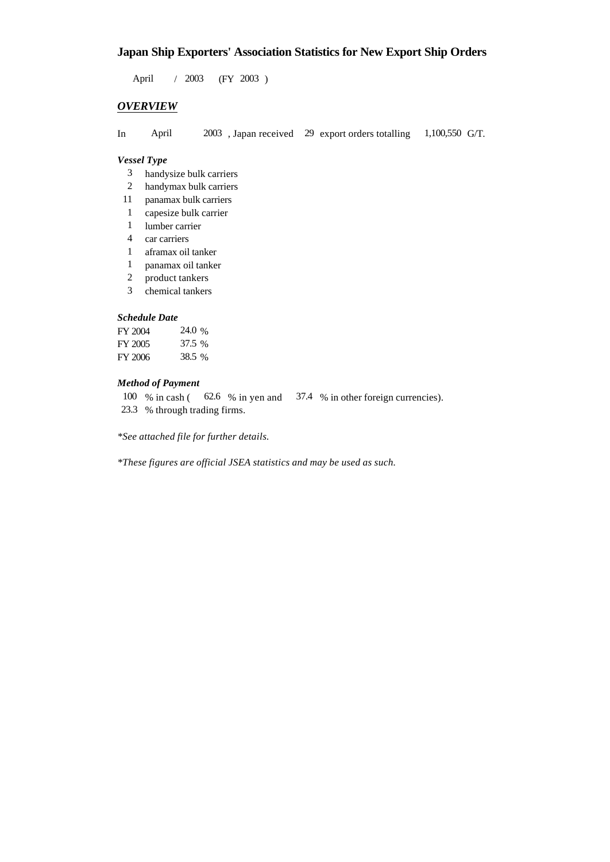## **Japan Ship Exporters' Association Statistics for New Export Ship Orders**

 $/ 2003$  (FY 2003) April 2003

### *OVERVIEW*

In April  $2003$ , Japan received 29 export orders totalling 1,100,550 G/T. 1,100,550 G/T.

#### *Vessel Type*

- handysize bulk carriers 3
- handymax bulk carriers 2
- panamax bulk carriers 11
- capesize bulk carrier 1
- lumber carrier 1
- car carriers 4
- aframax oil tanker 1
- panamax oil tanker 1
- product tankers 2
- chemical tankers 3

#### *Schedule Date*

| FY 2004 | 24.0 % |
|---------|--------|
| FY 2005 | 37.5 % |
| FY 2006 | 38.5 % |

#### *Method of Payment*

100 % in cash (62.6 % in yen and 37.4 % in other foreign currencies).

23.3 % through trading firms.

*\*See attached file for further details.*

*\*These figures are official JSEA statistics and may be used as such.*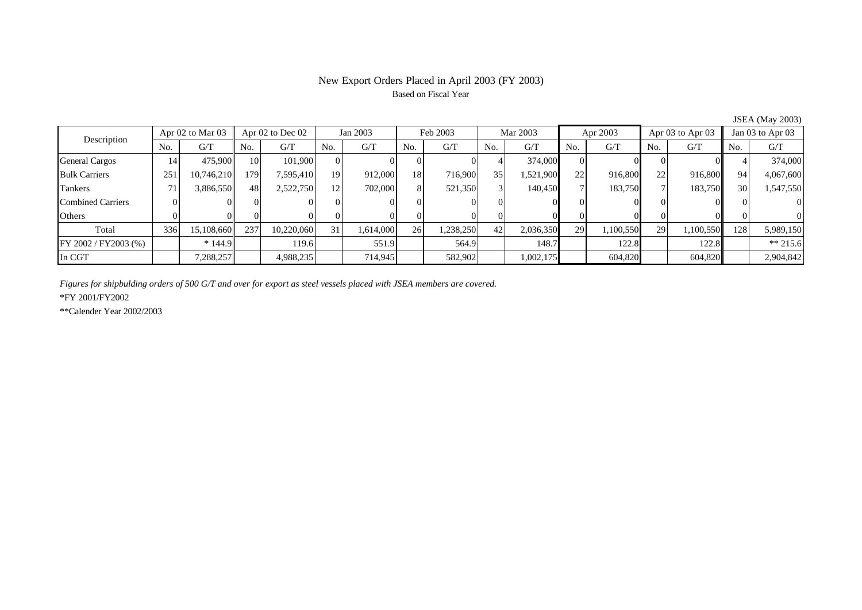## New Export Orders Placed in April 2003 (FY 2003) Based on Fiscal Year

| $5.5211$ ( $1.144$ ) $2000$ |                  |            |           |                      |     |           |     |           |                 |            |     |           |     |                      |     |                  |  |
|-----------------------------|------------------|------------|-----------|----------------------|-----|-----------|-----|-----------|-----------------|------------|-----|-----------|-----|----------------------|-----|------------------|--|
| Description                 | Apr 02 to Mar 03 |            |           | Apr $02$ to Dec $02$ |     | Jan 2003  |     | Feb 2003  |                 | Mar 2003   |     | Apr 2003  |     | Apr $03$ to Apr $03$ |     | Jan 03 to Apr 03 |  |
|                             | No.              | G/T        | No.       | G/T                  | No. | G/T       | No. | G/T       | No.             | G/T        | No. | G/T       | No. | G/T                  | No. | G/T              |  |
| <b>General Cargos</b>       | 14               | 475,900    | <b>10</b> | 101.900              | ΩI  |           |     |           |                 | 374,000    |     |           |     |                      |     | 374,000          |  |
| <b>Bulk Carriers</b>        | 251              | 10,746,210 | 179       | 7,595,410            | 19  | 912,000   | 18  | 716,900   | 35 <sup>1</sup> | .521,900   | 22  | 916,800   | 22  | 916,800              | 94  | 4,067,600        |  |
| Tankers                     | 71               | 3,886,550  | 48        | 2,522,750            | 12  | 702,000   | 8   | 521,350   |                 | 140,450    |     | 183,750   |     | 183,750              | 30  | 1,547,550        |  |
| Combined Carriers           |                  |            |           |                      |     |           |     |           |                 |            |     |           |     |                      |     |                  |  |
| Others                      |                  |            |           |                      |     |           |     |           |                 |            |     |           |     |                      |     |                  |  |
| Total                       | 336              | 15,108,660 | 237       | 10,220,060           | 31  | 1,614,000 | 26  | 1,238,250 | 42'             | 2,036,350  | 29  | 1,100,550 | 29  | 1,100,550            | 128 | 5,989,150        |  |
| FY 2002 / FY2003 (%)        |                  | $*144.9$   |           | 119.6                |     | 551.9     |     | 564.9     |                 | 148.7      |     | 122.8     |     | 122.8                |     | $** 215.6$       |  |
| In CGT                      |                  | 7,288,257  |           | 4,988,235            |     | 714,945   |     | 582,902   |                 | 0.002, 175 |     | 604,820   |     | 604,820              |     | 2,904,842        |  |

JSEA (May 2003)

*Figures for shipbulding orders of 500 G/T and over for export as steel vessels placed with JSEA members are covered.*

\*FY 2001/FY2002

\*\*Calender Year 2002/2003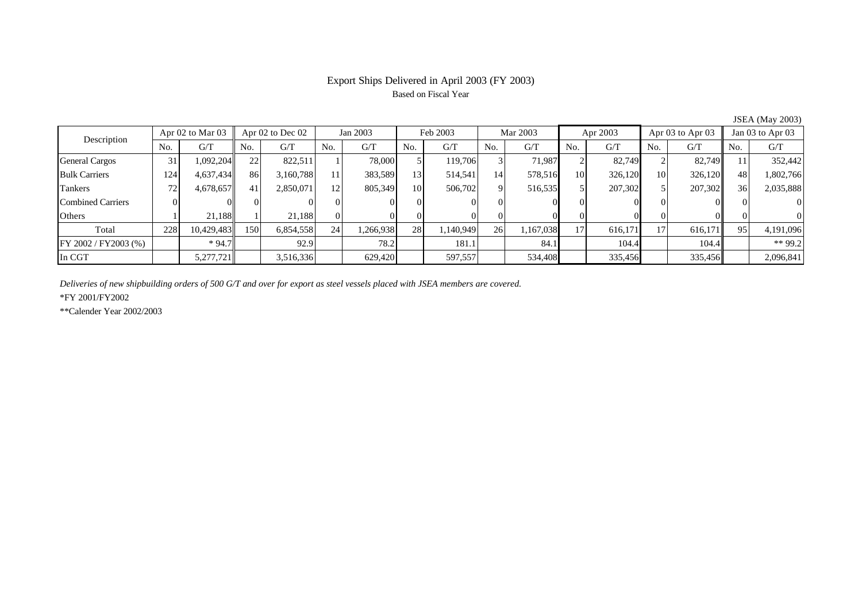## Export Ships Delivered in April 2003 (FY 2003) Based on Fiscal Year

|                          |                      |            |                  |           |                 |           |                 |          |          |           |          |         |                      |         |                  | $50.111$ , $1.114$ , $2000$ |
|--------------------------|----------------------|------------|------------------|-----------|-----------------|-----------|-----------------|----------|----------|-----------|----------|---------|----------------------|---------|------------------|-----------------------------|
| Description              | Apr $02$ to Mar $03$ |            | Apr 02 to Dec 02 |           | Jan 2003        |           | Feb 2003        |          | Mar 2003 |           | Apr 2003 |         | Apr $03$ to Apr $03$ |         | Jan 03 to Apr 03 |                             |
|                          | No.                  | G/T        | No.              | G/T       | No.             | G/T       | No.             | G/T      | No.      | G/T       | No.      | G/T     | N <sub>o</sub>       | G/T     | No.              | G/T                         |
| <b>General Cargos</b>    | 31                   | 1,092,204  | 22               | 822.511   |                 | 78,000    |                 | 119.706  |          | 71.987    |          | 82.749  |                      | 82.749  |                  | 352,442                     |
| <b>Bulk Carriers</b>     | 124                  | 4,637,434  | 86               | 3,160,788 | 11              | 383,589   | 13 <sub>l</sub> | 514,541  | 14       | 578,516   | 10       | 326,120 | 10                   | 326,120 | 48               | 1,802,766                   |
| Tankers                  | 72                   | 4,678,657  | 41               | 2,850,071 | 12 <sub>1</sub> | 805,349   | 10              | 506,702  |          | 516,535   |          | 207,302 |                      | 207,302 | 36               | 2,035,888                   |
| <b>Combined Carriers</b> |                      |            |                  |           |                 |           |                 |          |          |           |          |         |                      |         |                  | $\Omega$                    |
| Others                   |                      | 21,188     |                  | 21.188    | ΩI              |           |                 |          |          |           |          |         |                      |         |                  | $\Omega$                    |
| Total                    | 228                  | 10,429,483 | 150              | 6,854,558 | 24              | 1,266,938 | 28              | .140,949 | 26       | 1,167,038 | 171      | 616,171 | 17                   | 616,171 | 95               | 4,191,096                   |
| FY 2002 / FY2003 (%)     |                      | $*94.7$    |                  | 92.9      |                 | 78.2      |                 | 181.1    |          | 84.1      |          | 104.4   |                      | 104.4   |                  | ** 99.2                     |
| In CGT                   |                      | 5,277,721  |                  | 3,516,336 |                 | 629.420   |                 | 597,557  |          | 534,408   |          | 335,456 |                      | 335,456 |                  | 2,096,841                   |

JSEA (May 2003)

*Deliveries of new shipbuilding orders of 500 G/T and over for export as steel vessels placed with JSEA members are covered.*

\*FY 2001/FY2002

\*\*Calender Year 2002/2003